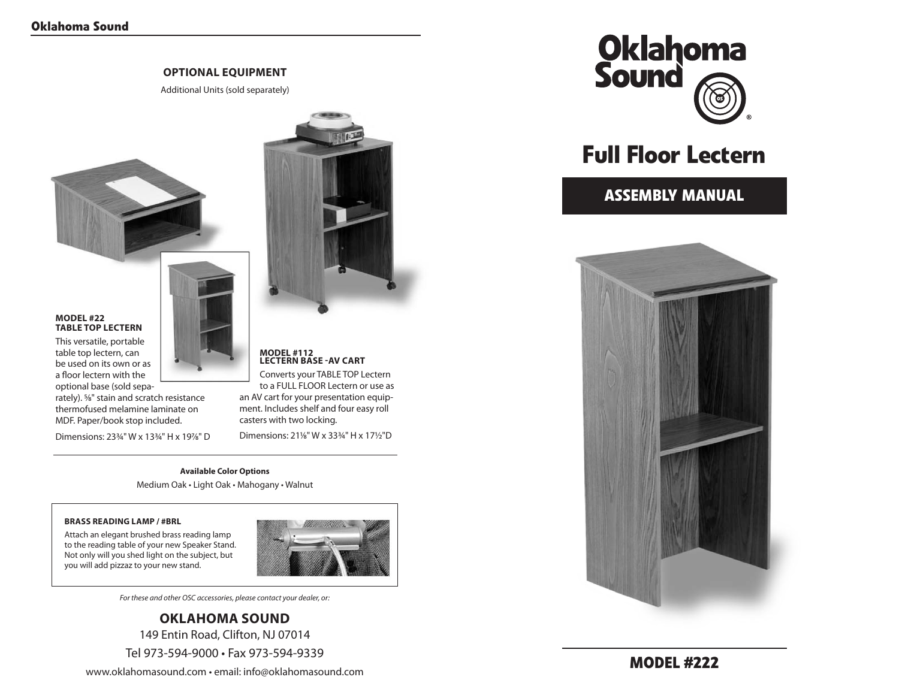### **optional equipment**

Additional Units (sold separately)

### **Model #22 table top lectern**

This versatile, portable table top lectern, can be used on its own or as a floor lectern with the optional base (sold sepa-

rately). 5/8" stain and scratch resistance thermofused melamine laminate on MDF. Paper/book stop included.

Dimensions: 233/4" W x 133/4" H x 197/8" D

# **MODEL #112 Lectern Base -AV Cart**

Converts your TABLE TOP Lectern to a FULL FLOOR Lectern or use as an AV cart for your presentation equipment. Includes shelf and four easy roll casters with two locking.

Dimensions: 21%" W x 33%" H x 171/2"D

**Available Color Options** Medium Oak • Light Oak • Mahogany • Walnut

### **Brass Reading Lamp / #BRL**

Attach an elegant brushed brass reading lamp to the reading table of your new Speaker Stand. Not only will you shed light on the subject, but you will add pizzaz to your new stand.



*For these and other OSC accessories, please contact your dealer, or:*

# **Oklahoma Sound** 149 Entin Road, Clifton, NJ 07014

Tel 973-594-9000 • Fax 973-594-9339

www.oklahomasound.com • email: info@oklahomasound.com



# **Full Floor Lectern**

# **assembly Manual**

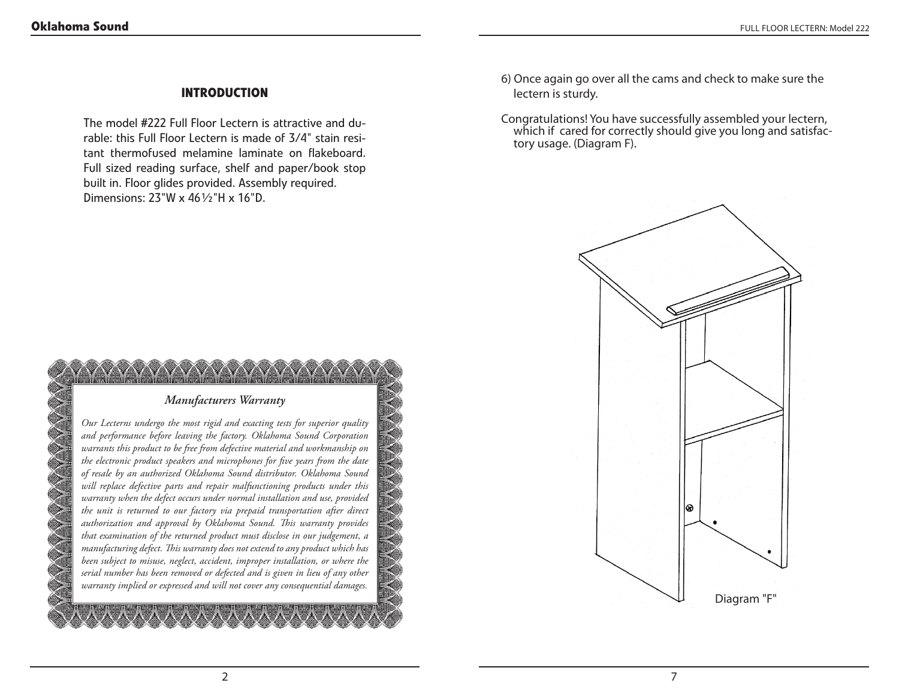## **Introduction**

The model #222 Full Floor Lectern is attractive and durable: this Full Floor Lectern is made of 3/4" stain resitant thermofused melamine laminate on flakeboard. Full sized reading surface, shelf and paper/book stop built in. Floor glides provided. Assembly required. Dimensions: 23"W x 46½"H x 16"D.

- 6) Once again go over all the cams and check to make sure the lectern is sturdy.
- Congratulations! You have successfully assembled your lectern, which if cared for correctly should give you long and satisfactory usage. (Diagram F).

# ශ Diagram "F"

## *Manufacturers Warranty*

*Our Lecterns undergo the most rigid and exacting tests for superior quality and performance before leaving the factory. Oklahoma Sound Corporation warrants this product to be free from defective material and workmanship on the electronic product speakers and microphones for five years from the date of resale by an authorized Oklahoma Sound distributor. Oklahoma Sound will replace defective parts and repair malfunctioning products under this warranty when the defect occurs under normal installation and use, provided the unit is returned to our factory via prepaid transportation after direct authorization and approval by Oklahoma Sound. This warranty provides that examination of the returned product must disclose in our judgement, a manufacturing defect. This warranty does not extend to any product which has been subject to misuse, neglect, accident, improper installation, or where the serial number has been removed or defected and is given in lieu of any other warranty implied or expressed and will not cover any consequential damages.*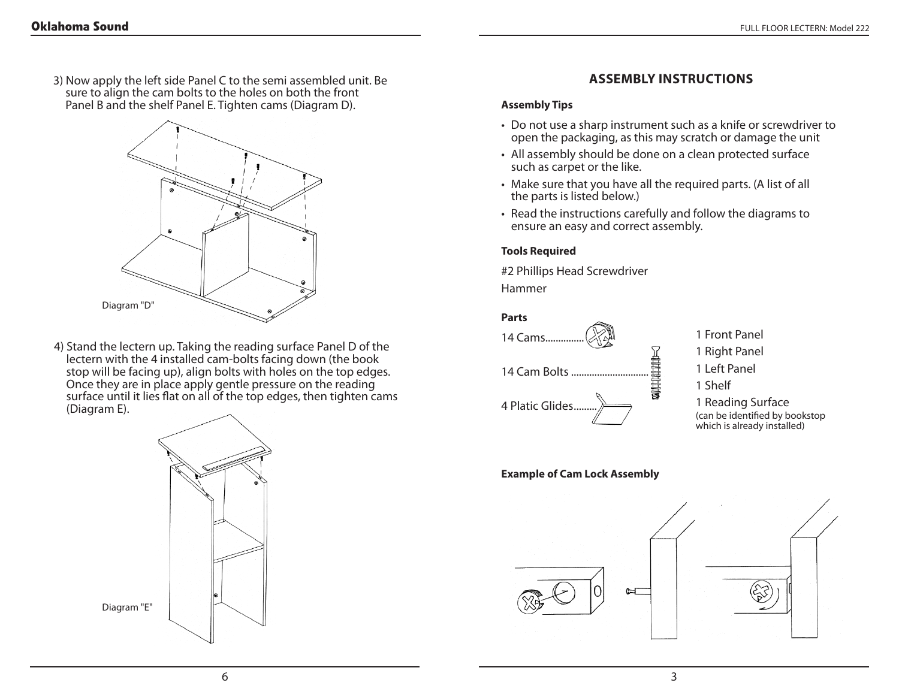3) Now apply the left side Panel C to the semi assembled unit. Be sure to align the cam bolts to the holes on both the front Panel B and the shelf Panel E. Tighten cams (Diagram D).



4) Stand the lectern up. Taking the reading surface Panel D of the lectern with the 4 installed cam-bolts facing down (the book stop will be facing up), align bolts with holes on the top edges. Once they are in place apply gentle pressure on the reading surface until it lies flat on all of the top edges, then tighten cams (Diagram E).



# **Assembly Instructions**

### **Assembly Tips**

- Do not use a sharp instrument such as a knife or screwdriver to open the packaging, as this may scratch or damage the unit
- All assembly should be done on a clean protected surface such as carpet or the like.
- Make sure that you have all the required parts. (A list of all the parts is listed below.)
- Read the instructions carefully and follow the diagrams to ensure an easy and correct assembly.

### **Tools Required**

#2 Phillips Head Screwdriver Hammer

### **Parts**



1 Front Panel 1 Right Panel 1 Left Panel 1 Shelf 1 Reading Surface (can be identified by bookstop which is already installed)

### **Example of Cam Lock Assembly**